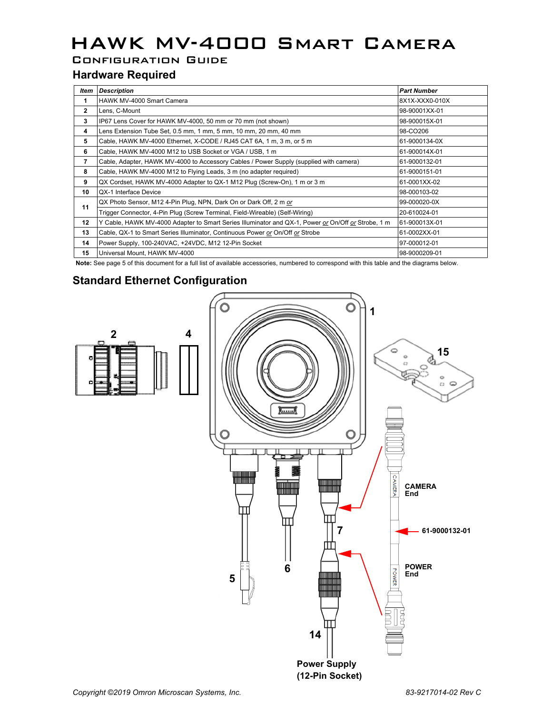# HAWK MV-4000 Smart Camera

Configuration Guide

### **Hardware Required**

| Item           | <b>Description</b>                                                                                 | <b>Part Number</b> |
|----------------|----------------------------------------------------------------------------------------------------|--------------------|
| 1              | HAWK MV-4000 Smart Camera                                                                          | 8X1X-XXX0-010X     |
| $\overline{2}$ | Lens, C-Mount                                                                                      | 98-90001XX-01      |
| 3              | IP67 Lens Cover for HAWK MV-4000, 50 mm or 70 mm (not shown)                                       | 98-900015X-01      |
| 4              | Lens Extension Tube Set, 0.5 mm, 1 mm, 5 mm, 10 mm, 20 mm, 40 mm                                   | 98-CO206           |
| 5              | Cable, HAWK MV-4000 Ethernet, X-CODE / RJ45 CAT 6A, 1 m, 3 m, or 5 m                               | 61-9000134-0X      |
| 6              | Cable, HAWK MV-4000 M12 to USB Socket or VGA / USB, 1 m                                            | 61-900014X-01      |
| $\overline{7}$ | Cable, Adapter, HAWK MV-4000 to Accessory Cables / Power Supply (supplied with camera)             | 61-9000132-01      |
| 8              | Cable, HAWK MV-4000 M12 to Flying Leads, 3 m (no adapter required)                                 | 61-9000151-01      |
| 9              | QX Cordset, HAWK MV-4000 Adapter to QX-1 M12 Plug (Screw-On), 1 m or 3 m                           | 61-0001XX-02       |
| 10             | QX-1 Interface Device                                                                              | 98-000103-02       |
| 11             | QX Photo Sensor, M12 4-Pin Plug, NPN, Dark On or Dark Off, 2 m or                                  | 99-000020-0X       |
|                | Trigger Connector, 4-Pin Plug (Screw Terminal, Field-Wireable) (Self-Wiring)                       | 20-610024-01       |
| 12             | Y Cable, HAWK MV-4000 Adapter to Smart Series Illuminator and QX-1, Power or On/Off or Strobe, 1 m | 61-900013X-01      |
| 13             | Cable, QX-1 to Smart Series Illuminator, Continuous Power or On/Off or Strobe                      | 61-0002XX-01       |
| 14             | Power Supply, 100-240VAC, +24VDC, M12 12-Pin Socket                                                | 97-000012-01       |
| 15             | Universal Mount, HAWK MV-4000                                                                      | 98-9000209-01      |

**Note:** See page 5 of this document for a full list of available accessories, numbered to correspond with this table and the diagrams below.

### **Standard Ethernet Configuration**



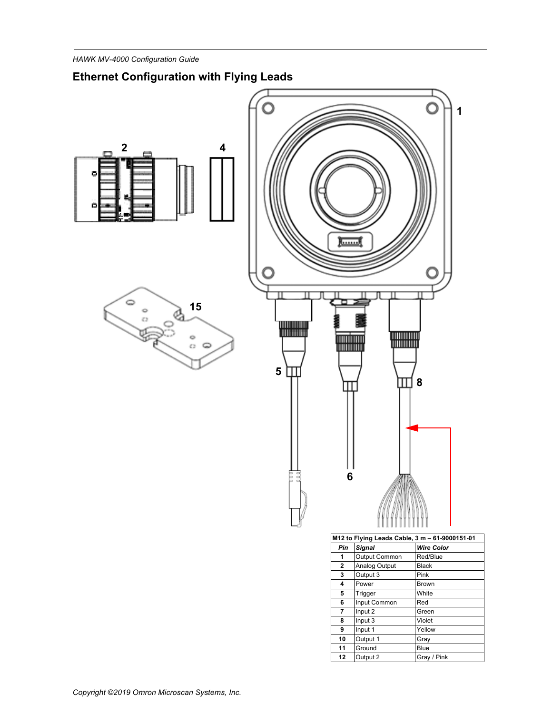## **Ethernet Configuration with Flying Leads**







| M12 to Flying Leads Cable, 3 m - 61-9000151-01 |               |                   |  |  |
|------------------------------------------------|---------------|-------------------|--|--|
| Pin                                            | <b>Signal</b> | <b>Wire Color</b> |  |  |
| 1                                              | Output Common | Red/Blue          |  |  |
| $\mathbf{2}$                                   | Analog Output | <b>Black</b>      |  |  |
| 3                                              | Output 3      | Pink              |  |  |
| 4                                              | Power         | <b>Brown</b>      |  |  |
| 5                                              | Trigger       | White             |  |  |
| 6                                              | Input Common  | Red               |  |  |
| 7                                              | Input 2       | Green             |  |  |
| 8                                              | Input 3       | Violet            |  |  |
| 9                                              | Input 1       | Yellow            |  |  |
| 10                                             | Output 1      | Gray              |  |  |
| 11                                             | Ground        | Blue              |  |  |
| 12                                             | Output 2      | Gray / Pink       |  |  |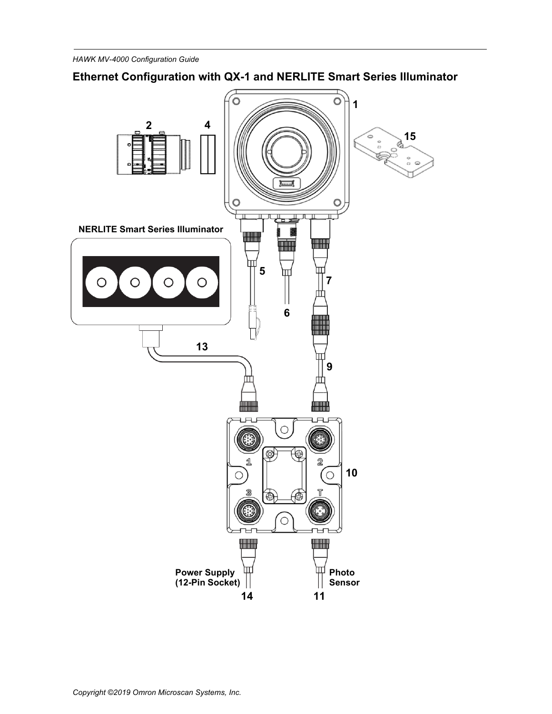## **Ethernet Configuration with QX-1 and NERLITE Smart Series Illuminator**

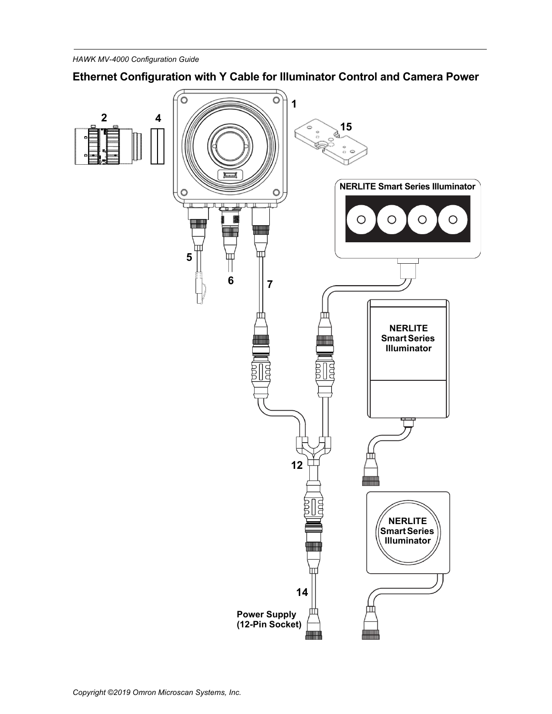## **Ethernet Configuration with Y Cable for Illuminator Control and Camera Power**

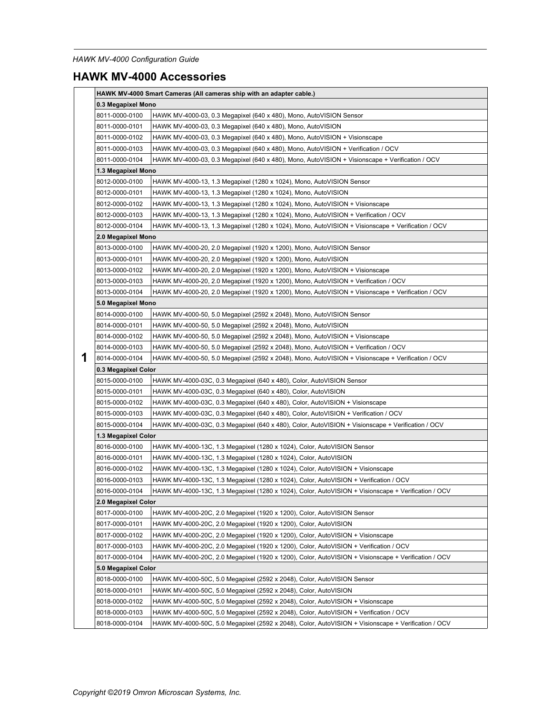## **HAWK MV-4000 Accessories**

|                     | HAWK MV-4000 Smart Cameras (All cameras ship with an adapter cable.) |                                                                                                     |  |  |  |
|---------------------|----------------------------------------------------------------------|-----------------------------------------------------------------------------------------------------|--|--|--|
|                     | 0.3 Megapixel Mono                                                   |                                                                                                     |  |  |  |
|                     | 8011-0000-0100                                                       | HAWK MV-4000-03, 0.3 Megapixel (640 x 480), Mono, AutoVISION Sensor                                 |  |  |  |
|                     | 8011-0000-0101                                                       | HAWK MV-4000-03, 0.3 Megapixel (640 x 480), Mono, AutoVISION                                        |  |  |  |
|                     | 8011-0000-0102                                                       | HAWK MV-4000-03, 0.3 Megapixel (640 x 480), Mono, AutoVISION + Visionscape                          |  |  |  |
|                     | 8011-0000-0103                                                       | HAWK MV-4000-03, 0.3 Megapixel (640 x 480), Mono, AutoVISION + Verification / OCV                   |  |  |  |
|                     | 8011-0000-0104                                                       | HAWK MV-4000-03, 0.3 Megapixel (640 x 480), Mono, AutoVISION + Visionscape + Verification / OCV     |  |  |  |
|                     | 1.3 Megapixel Mono                                                   |                                                                                                     |  |  |  |
|                     | 8012-0000-0100                                                       | HAWK MV-4000-13, 1.3 Megapixel (1280 x 1024), Mono, AutoVISION Sensor                               |  |  |  |
|                     | 8012-0000-0101                                                       | HAWK MV-4000-13, 1.3 Megapixel (1280 x 1024), Mono, AutoVISION                                      |  |  |  |
|                     | 8012-0000-0102                                                       | HAWK MV-4000-13, 1.3 Megapixel (1280 x 1024), Mono, AutoVISION + Visionscape                        |  |  |  |
|                     | 8012-0000-0103                                                       | HAWK MV-4000-13, 1.3 Megapixel (1280 x 1024), Mono, AutoVISION + Verification / OCV                 |  |  |  |
|                     | 8012-0000-0104                                                       | HAWK MV-4000-13, 1.3 Megapixel (1280 x 1024), Mono, AutoVISION + Visionscape + Verification / OCV   |  |  |  |
|                     | 2.0 Megapixel Mono                                                   |                                                                                                     |  |  |  |
|                     | 8013-0000-0100                                                       | HAWK MV-4000-20, 2.0 Megapixel (1920 x 1200), Mono, AutoVISION Sensor                               |  |  |  |
|                     | 8013-0000-0101                                                       | HAWK MV-4000-20, 2.0 Megapixel (1920 x 1200), Mono, AutoVISION                                      |  |  |  |
|                     | 8013-0000-0102                                                       | HAWK MV-4000-20, 2.0 Megapixel (1920 x 1200), Mono, AutoVISION + Visionscape                        |  |  |  |
|                     | 8013-0000-0103                                                       | HAWK MV-4000-20, 2.0 Megapixel (1920 x 1200), Mono, AutoVISION + Verification / OCV                 |  |  |  |
|                     | 8013-0000-0104                                                       | HAWK MV-4000-20, 2.0 Megapixel (1920 x 1200), Mono, AutoVISION + Visionscape + Verification / OCV   |  |  |  |
|                     | 5.0 Megapixel Mono                                                   |                                                                                                     |  |  |  |
|                     | 8014-0000-0100                                                       | HAWK MV-4000-50, 5.0 Megapixel (2592 x 2048), Mono, AutoVISION Sensor                               |  |  |  |
|                     | 8014-0000-0101                                                       | HAWK MV-4000-50, 5.0 Megapixel (2592 x 2048), Mono, AutoVISION                                      |  |  |  |
|                     | 8014-0000-0102                                                       | HAWK MV-4000-50, 5.0 Megapixel (2592 x 2048), Mono, AutoVISION + Visionscape                        |  |  |  |
|                     | 8014-0000-0103                                                       | HAWK MV-4000-50, 5.0 Megapixel (2592 x 2048), Mono, AutoVISION + Verification / OCV                 |  |  |  |
| 1                   | 8014-0000-0104                                                       | HAWK MV-4000-50, 5.0 Megapixel (2592 x 2048), Mono, AutoVISION + Visionscape + Verification / OCV   |  |  |  |
|                     | 0.3 Megapixel Color                                                  |                                                                                                     |  |  |  |
|                     | 8015-0000-0100                                                       | HAWK MV-4000-03C, 0.3 Megapixel (640 x 480), Color, AutoVISION Sensor                               |  |  |  |
|                     | 8015-0000-0101                                                       | HAWK MV-4000-03C, 0.3 Megapixel (640 x 480), Color, AutoVISION                                      |  |  |  |
|                     | 8015-0000-0102                                                       | HAWK MV-4000-03C, 0.3 Megapixel (640 x 480), Color, AutoVISION + Visionscape                        |  |  |  |
|                     | 8015-0000-0103                                                       | HAWK MV-4000-03C, 0.3 Megapixel (640 x 480), Color, AutoVISION + Verification / OCV                 |  |  |  |
|                     | 8015-0000-0104                                                       | HAWK MV-4000-03C, 0.3 Megapixel (640 x 480), Color, AutoVISION + Visionscape + Verification / OCV   |  |  |  |
| 1.3 Megapixel Color |                                                                      |                                                                                                     |  |  |  |
|                     | 8016-0000-0100                                                       | HAWK MV-4000-13C, 1.3 Megapixel (1280 x 1024), Color, AutoVISION Sensor                             |  |  |  |
|                     | 8016-0000-0101                                                       | HAWK MV-4000-13C, 1.3 Megapixel (1280 x 1024), Color, AutoVISION                                    |  |  |  |
|                     | 8016-0000-0102                                                       | HAWK MV-4000-13C, 1.3 Megapixel (1280 x 1024), Color, AutoVISION + Visionscape                      |  |  |  |
|                     | 8016-0000-0103                                                       | HAWK MV-4000-13C, 1.3 Megapixel (1280 x 1024), Color, AutoVISION + Verification / OCV               |  |  |  |
|                     | 8016-0000-0104                                                       | HAWK MV-4000-13C, 1.3 Megapixel (1280 x 1024), Color, AutoVISION + Visionscape + Verification / OCV |  |  |  |
|                     | 2.0 Megapixel Color                                                  |                                                                                                     |  |  |  |
|                     | 8017-0000-0100                                                       | HAWK MV-4000-20C, 2.0 Megapixel (1920 x 1200), Color, AutoVISION Sensor                             |  |  |  |
|                     | 8017-0000-0101                                                       | HAWK MV-4000-20C, 2.0 Megapixel (1920 x 1200), Color, AutoVISION                                    |  |  |  |
|                     | 8017-0000-0102                                                       | HAWK MV-4000-20C, 2.0 Megapixel (1920 x 1200), Color, AutoVISION + Visionscape                      |  |  |  |
|                     | 8017-0000-0103                                                       | HAWK MV-4000-20C, 2.0 Megapixel (1920 x 1200), Color, AutoVISION + Verification / OCV               |  |  |  |
|                     | 8017-0000-0104                                                       | HAWK MV-4000-20C, 2.0 Megapixel (1920 x 1200), Color, AutoVISION + Visionscape + Verification / OCV |  |  |  |
|                     | 5.0 Megapixel Color                                                  |                                                                                                     |  |  |  |
|                     | 8018-0000-0100                                                       | HAWK MV-4000-50C, 5.0 Megapixel (2592 x 2048), Color, AutoVISION Sensor                             |  |  |  |
|                     | 8018-0000-0101                                                       | HAWK MV-4000-50C, 5.0 Megapixel (2592 x 2048), Color, AutoVISION                                    |  |  |  |
|                     | 8018-0000-0102                                                       | HAWK MV-4000-50C, 5.0 Megapixel (2592 x 2048), Color, AutoVISION + Visionscape                      |  |  |  |
|                     | 8018-0000-0103                                                       | HAWK MV-4000-50C, 5.0 Megapixel (2592 x 2048), Color, AutoVISION + Verification / OCV               |  |  |  |
|                     | 8018-0000-0104                                                       | HAWK MV-4000-50C, 5.0 Megapixel (2592 x 2048), Color, AutoVISION + Visionscape + Verification / OCV |  |  |  |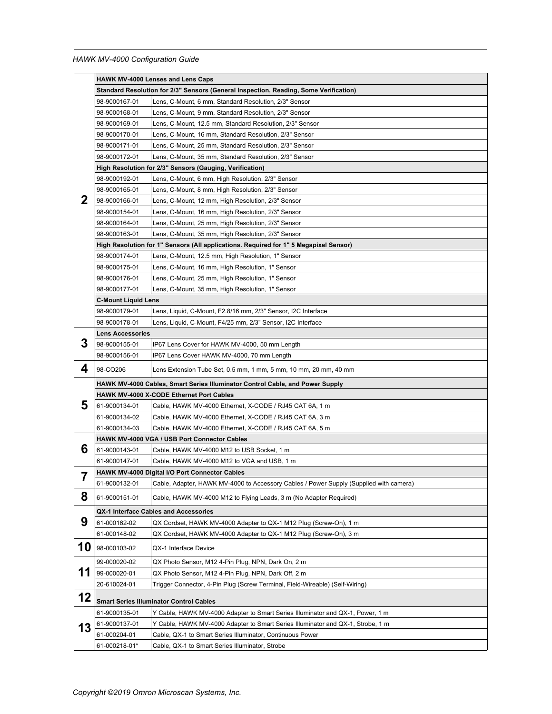|    |                                                                                       | <b>HAWK MV-4000 Lenses and Lens Caps</b>                                                                     |  |  |  |  |
|----|---------------------------------------------------------------------------------------|--------------------------------------------------------------------------------------------------------------|--|--|--|--|
|    | Standard Resolution for 2/3" Sensors (General Inspection, Reading, Some Verification) |                                                                                                              |  |  |  |  |
|    | 98-9000167-01                                                                         | Lens, C-Mount, 6 mm, Standard Resolution, 2/3" Sensor                                                        |  |  |  |  |
|    | 98-9000168-01                                                                         | Lens, C-Mount, 9 mm, Standard Resolution, 2/3" Sensor                                                        |  |  |  |  |
|    | 98-9000169-01                                                                         | Lens, C-Mount, 12.5 mm, Standard Resolution, 2/3" Sensor                                                     |  |  |  |  |
|    | 98-9000170-01                                                                         | Lens, C-Mount, 16 mm, Standard Resolution, 2/3" Sensor                                                       |  |  |  |  |
|    | 98-9000171-01                                                                         | Lens, C-Mount, 25 mm, Standard Resolution, 2/3" Sensor                                                       |  |  |  |  |
|    | 98-9000172-01                                                                         | Lens, C-Mount, 35 mm, Standard Resolution, 2/3" Sensor                                                       |  |  |  |  |
|    | High Resolution for 2/3" Sensors (Gauging, Verification)                              |                                                                                                              |  |  |  |  |
| 2  | 98-9000192-01                                                                         | Lens, C-Mount, 6 mm, High Resolution, 2/3" Sensor                                                            |  |  |  |  |
|    | 98-9000165-01                                                                         | Lens, C-Mount, 8 mm, High Resolution, 2/3" Sensor                                                            |  |  |  |  |
|    | 98-9000166-01                                                                         | Lens, C-Mount, 12 mm, High Resolution, 2/3" Sensor                                                           |  |  |  |  |
|    | 98-9000154-01                                                                         | Lens, C-Mount, 16 mm, High Resolution, 2/3" Sensor                                                           |  |  |  |  |
|    | 98-9000164-01                                                                         | Lens, C-Mount, 25 mm, High Resolution, 2/3" Sensor                                                           |  |  |  |  |
|    | 98-9000163-01                                                                         | Lens, C-Mount, 35 mm, High Resolution, 2/3" Sensor                                                           |  |  |  |  |
|    |                                                                                       | High Resolution for 1" Sensors (All applications. Required for 1" 5 Megapixel Sensor)                        |  |  |  |  |
|    | 98-9000174-01                                                                         | Lens, C-Mount, 12.5 mm, High Resolution, 1" Sensor                                                           |  |  |  |  |
|    | 98-9000175-01                                                                         | Lens, C-Mount, 16 mm, High Resolution, 1" Sensor                                                             |  |  |  |  |
|    | 98-9000176-01                                                                         | Lens, C-Mount, 25 mm, High Resolution, 1" Sensor                                                             |  |  |  |  |
|    | 98-9000177-01                                                                         | Lens, C-Mount, 35 mm, High Resolution, 1" Sensor                                                             |  |  |  |  |
|    | <b>C-Mount Liquid Lens</b>                                                            |                                                                                                              |  |  |  |  |
|    | 98-9000179-01                                                                         | Lens, Liquid, C-Mount, F2.8/16 mm, 2/3" Sensor, I2C Interface                                                |  |  |  |  |
|    | 98-9000178-01                                                                         | Lens, Liquid, C-Mount, F4/25 mm, 2/3" Sensor, I2C Interface                                                  |  |  |  |  |
|    | <b>Lens Accessories</b>                                                               |                                                                                                              |  |  |  |  |
| 3  | 98-9000155-01                                                                         | IP67 Lens Cover for HAWK MV-4000, 50 mm Length                                                               |  |  |  |  |
|    | 98-9000156-01                                                                         | IP67 Lens Cover HAWK MV-4000, 70 mm Length                                                                   |  |  |  |  |
| 4  | 98-CO206                                                                              | Lens Extension Tube Set, 0.5 mm, 1 mm, 5 mm, 10 mm, 20 mm, 40 mm                                             |  |  |  |  |
|    | HAWK MV-4000 Cables, Smart Series Illuminator Control Cable, and Power Supply         |                                                                                                              |  |  |  |  |
|    |                                                                                       | HAWK MV-4000 X-CODE Ethernet Port Cables                                                                     |  |  |  |  |
| 5  | 61-9000134-01                                                                         | Cable, HAWK MV-4000 Ethernet, X-CODE / RJ45 CAT 6A, 1 m                                                      |  |  |  |  |
|    | 61-9000134-02                                                                         | Cable, HAWK MV-4000 Ethernet, X-CODE / RJ45 CAT 6A, 3 m                                                      |  |  |  |  |
|    | 61-9000134-03                                                                         | Cable, HAWK MV-4000 Ethernet, X-CODE / RJ45 CAT 6A, 5 m                                                      |  |  |  |  |
|    |                                                                                       | HAWK MV-4000 VGA / USB Port Connector Cables                                                                 |  |  |  |  |
| 6  | 61-9000143-01                                                                         | Cable, HAWK MV-4000 M12 to USB Socket, 1 m                                                                   |  |  |  |  |
|    | 61-9000147-01                                                                         | Cable, HAWK MV-4000 M12 to VGA and USB, 1 m                                                                  |  |  |  |  |
| 7  |                                                                                       | HAWK MV-4000 Digital I/O Port Connector Cables                                                               |  |  |  |  |
| ı  | 61-9000132-01                                                                         | Cable, Adapter, HAWK MV-4000 to Accessory Cables / Power Supply (Supplied with camera)                       |  |  |  |  |
| 8  | 61-9000151-01                                                                         | Cable, HAWK MV-4000 M12 to Flying Leads, 3 m (No Adapter Required)                                           |  |  |  |  |
|    |                                                                                       | QX-1 Interface Cables and Accessories                                                                        |  |  |  |  |
| 9  | 61-000162-02                                                                          | QX Cordset, HAWK MV-4000 Adapter to QX-1 M12 Plug (Screw-On), 1 m                                            |  |  |  |  |
|    | 61-000148-02                                                                          | QX Cordset, HAWK MV-4000 Adapter to QX-1 M12 Plug (Screw-On), 3 m                                            |  |  |  |  |
| 10 | 98-000103-02                                                                          | QX-1 Interface Device                                                                                        |  |  |  |  |
|    | 99-000020-02                                                                          | QX Photo Sensor, M12 4-Pin Plug, NPN, Dark On, 2 m                                                           |  |  |  |  |
| 11 | 99-000020-01                                                                          | QX Photo Sensor, M12 4-Pin Plug, NPN, Dark Off, 2 m                                                          |  |  |  |  |
|    | 20-610024-01                                                                          | Trigger Connector, 4-Pin Plug (Screw Terminal, Field-Wireable) (Self-Wiring)                                 |  |  |  |  |
| 12 |                                                                                       |                                                                                                              |  |  |  |  |
|    |                                                                                       | <b>Smart Series Illuminator Control Cables</b>                                                               |  |  |  |  |
|    | 61-9000135-01                                                                         | Y Cable, HAWK MV-4000 Adapter to Smart Series Illuminator and QX-1, Power, 1 m                               |  |  |  |  |
| 13 | 61-9000137-01<br>61-000204-01                                                         | Y Cable, HAWK MV-4000 Adapter to Smart Series Illuminator and QX-1, Strobe, 1 m                              |  |  |  |  |
|    | 61-000218-01*                                                                         | Cable, QX-1 to Smart Series Illuminator, Continuous Power<br>Cable, QX-1 to Smart Series Illuminator, Strobe |  |  |  |  |
|    |                                                                                       |                                                                                                              |  |  |  |  |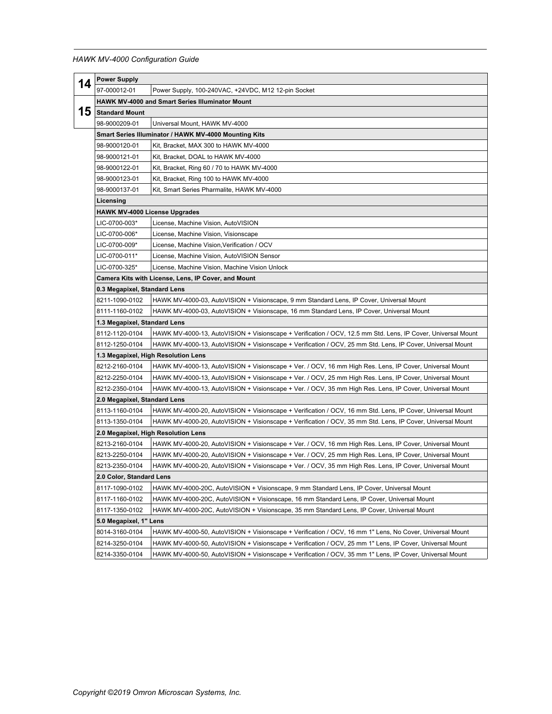| 14 | <b>Power Supply</b>                                                                                                          |                                                                                                              |  |  |  |
|----|------------------------------------------------------------------------------------------------------------------------------|--------------------------------------------------------------------------------------------------------------|--|--|--|
|    | 97-000012-01                                                                                                                 | Power Supply, 100-240VAC, +24VDC, M12 12-pin Socket                                                          |  |  |  |
|    | HAWK MV-4000 and Smart Series Illuminator Mount                                                                              |                                                                                                              |  |  |  |
| 15 | <b>Standard Mount</b>                                                                                                        |                                                                                                              |  |  |  |
|    | 98-9000209-01                                                                                                                | Universal Mount, HAWK MV-4000                                                                                |  |  |  |
|    | Smart Series Illuminator / HAWK MV-4000 Mounting Kits                                                                        |                                                                                                              |  |  |  |
|    | 98-9000120-01                                                                                                                | Kit, Bracket, MAX 300 to HAWK MV-4000                                                                        |  |  |  |
|    | 98-9000121-01                                                                                                                | Kit, Bracket, DOAL to HAWK MV-4000                                                                           |  |  |  |
|    | 98-9000122-01                                                                                                                | Kit, Bracket, Ring 60 / 70 to HAWK MV-4000                                                                   |  |  |  |
|    | 98-9000123-01                                                                                                                | Kit, Bracket, Ring 100 to HAWK MV-4000                                                                       |  |  |  |
|    | 98-9000137-01                                                                                                                | Kit, Smart Series Pharmalite, HAWK MV-4000                                                                   |  |  |  |
|    | Licensing                                                                                                                    |                                                                                                              |  |  |  |
|    | <b>HAWK MV-4000 License Upgrades</b>                                                                                         |                                                                                                              |  |  |  |
|    | LIC-0700-003*                                                                                                                | License, Machine Vision, AutoVISION                                                                          |  |  |  |
|    | LIC-0700-006*                                                                                                                | License, Machine Vision, Visionscape                                                                         |  |  |  |
|    | LIC-0700-009*                                                                                                                | License, Machine Vision, Verification / OCV                                                                  |  |  |  |
|    | LIC-0700-011*                                                                                                                | License, Machine Vision, AutoVISION Sensor                                                                   |  |  |  |
|    | LIC-0700-325*                                                                                                                | License, Machine Vision, Machine Vision Unlock                                                               |  |  |  |
|    | Camera Kits with License, Lens, IP Cover, and Mount                                                                          |                                                                                                              |  |  |  |
|    | 0.3 Megapixel, Standard Lens                                                                                                 |                                                                                                              |  |  |  |
|    | 8211-1090-0102                                                                                                               | HAWK MV-4000-03, AutoVISION + Visionscape, 9 mm Standard Lens, IP Cover, Universal Mount                     |  |  |  |
|    | 8111-1160-0102                                                                                                               | HAWK MV-4000-03, AutoVISION + Visionscape, 16 mm Standard Lens, IP Cover, Universal Mount                    |  |  |  |
|    | 1.3 Megapixel, Standard Lens                                                                                                 |                                                                                                              |  |  |  |
|    | 8112-1120-0104                                                                                                               | HAWK MV-4000-13, AutoVISION + Visionscape + Verification / OCV, 12.5 mm Std. Lens, IP Cover, Universal Mount |  |  |  |
|    | 8112-1250-0104                                                                                                               | HAWK MV-4000-13, AutoVISION + Visionscape + Verification / OCV, 25 mm Std. Lens, IP Cover, Universal Mount   |  |  |  |
|    | 1.3 Megapixel, High Resolution Lens                                                                                          |                                                                                                              |  |  |  |
|    | 8212-2160-0104<br>HAWK MV-4000-13, AutoVISION + Visionscape + Ver. / OCV, 16 mm High Res. Lens, IP Cover, Universal Mount    |                                                                                                              |  |  |  |
|    | 8212-2250-0104                                                                                                               | HAWK MV-4000-13, AutoVISION + Visionscape + Ver. / OCV, 25 mm High Res. Lens, IP Cover, Universal Mount      |  |  |  |
|    | 8212-2350-0104                                                                                                               | HAWK MV-4000-13, AutoVISION + Visionscape + Ver. / OCV, 35 mm High Res. Lens, IP Cover, Universal Mount      |  |  |  |
|    | 2.0 Megapixel, Standard Lens                                                                                                 |                                                                                                              |  |  |  |
|    | 8113-1160-0104                                                                                                               | HAWK MV-4000-20, AutoVISION + Visionscape + Verification / OCV, 16 mm Std. Lens, IP Cover, Universal Mount   |  |  |  |
|    | HAWK MV-4000-20, AutoVISION + Visionscape + Verification / OCV, 35 mm Std. Lens, IP Cover, Universal Mount<br>8113-1350-0104 |                                                                                                              |  |  |  |
|    | 2.0 Megapixel, High Resolution Lens                                                                                          |                                                                                                              |  |  |  |
|    | 8213-2160-0104                                                                                                               | HAWK MV-4000-20, AutoVISION + Visionscape + Ver. / OCV, 16 mm High Res. Lens, IP Cover, Universal Mount      |  |  |  |
|    | 8213-2250-0104                                                                                                               | HAWK MV-4000-20, AutoVISION + Visionscape + Ver. / OCV, 25 mm High Res. Lens, IP Cover, Universal Mount      |  |  |  |
|    | 8213-2350-0104                                                                                                               | HAWK MV-4000-20, AutoVISION + Visionscape + Ver. / OCV, 35 mm High Res. Lens, IP Cover, Universal Mount      |  |  |  |
|    | 2.0 Color, Standard Lens                                                                                                     |                                                                                                              |  |  |  |
|    | 8117-1090-0102                                                                                                               | HAWK MV-4000-20C, AutoVISION + Visionscape, 9 mm Standard Lens, IP Cover, Universal Mount                    |  |  |  |
|    | 8117-1160-0102                                                                                                               | HAWK MV-4000-20C, AutoVISION + Visionscape, 16 mm Standard Lens, IP Cover, Universal Mount                   |  |  |  |
|    | 8117-1350-0102                                                                                                               | HAWK MV-4000-20C, AutoVISION + Visionscape, 35 mm Standard Lens, IP Cover, Universal Mount                   |  |  |  |
|    | 5.0 Megapixel, 1" Lens                                                                                                       |                                                                                                              |  |  |  |
|    | 8014-3160-0104                                                                                                               | HAWK MV-4000-50, AutoVISION + Visionscape + Verification / OCV, 16 mm 1" Lens, No Cover, Universal Mount     |  |  |  |
|    | 8214-3250-0104                                                                                                               | HAWK MV-4000-50, AutoVISION + Visionscape + Verification / OCV, 25 mm 1" Lens, IP Cover, Universal Mount     |  |  |  |
|    | 8214-3350-0104                                                                                                               | HAWK MV-4000-50, AutoVISION + Visionscape + Verification / OCV, 35 mm 1" Lens, IP Cover, Universal Mount     |  |  |  |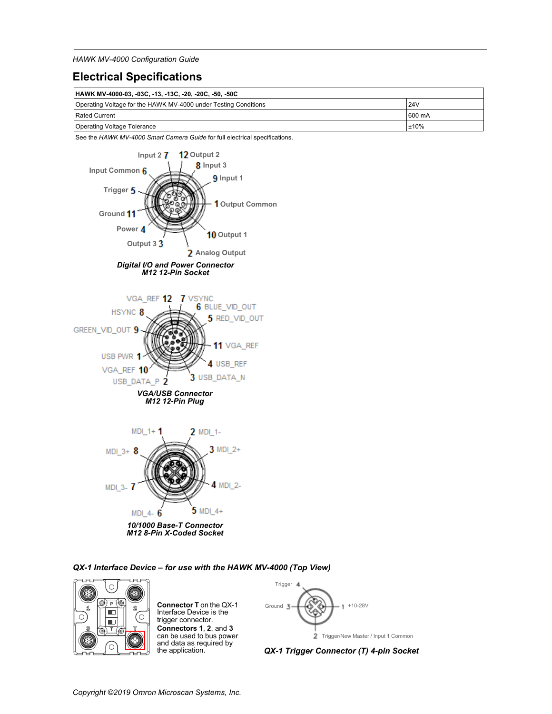### **Electrical Specifications**

| HAWK MV-4000-03, -03C, -13, -13C, -20, -20C, -50, -50C          |            |  |  |
|-----------------------------------------------------------------|------------|--|--|
| Operating Voltage for the HAWK MV-4000 under Testing Conditions | <b>24V</b> |  |  |
| Rated Current                                                   | 600 mA     |  |  |
| Operating Voltage Tolerance                                     | $\pm 10\%$ |  |  |

See the *HAWK MV-4000 Smart Camera Guide* for full electrical specifications.



*QX-1 Interface Device – for use with the HAWK MV-4000 (Top View)*



**Connector T** on the QX-1 Interface Device is the trigger connector. **Connectors 1**, **2**, and **3** can be used to bus power and data as required by the application.



2 Trigger/New Master / Input 1 Common

*QX-1 Trigger Connector (T) 4-pin Socket*